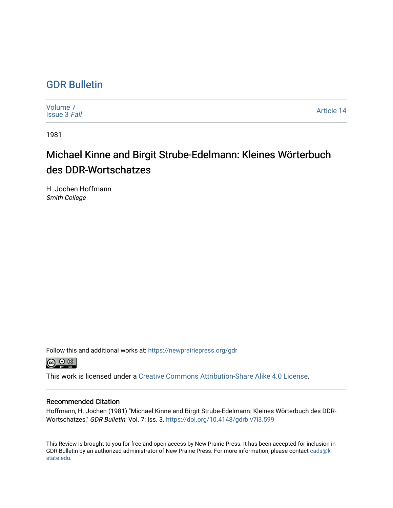## [GDR Bulletin](https://newprairiepress.org/gdr)

| Volume <sub>7</sub><br><b>Issue 3 Fall</b> | Article 14 |
|--------------------------------------------|------------|
|--------------------------------------------|------------|

1981

## Michael Kinne and Birgit Strube-Edelmann: Kleines Wörterbuch des DDR-Wortschatzes

H. Jochen Hoffmann Smith College

Follow this and additional works at: [https://newprairiepress.org/gdr](https://newprairiepress.org/gdr?utm_source=newprairiepress.org%2Fgdr%2Fvol7%2Fiss3%2F14&utm_medium=PDF&utm_campaign=PDFCoverPages) 



This work is licensed under a [Creative Commons Attribution-Share Alike 4.0 License.](https://creativecommons.org/licenses/by-sa/4.0/)

## Recommended Citation

Hoffmann, H. Jochen (1981) "Michael Kinne and Birgit Strube-Edelmann: Kleines Wörterbuch des DDR-Wortschatzes," GDR Bulletin: Vol. 7: Iss. 3. <https://doi.org/10.4148/gdrb.v7i3.599>

This Review is brought to you for free and open access by New Prairie Press. It has been accepted for inclusion in GDR Bulletin by an authorized administrator of New Prairie Press. For more information, please contact [cads@k](mailto:cads@k-state.edu)[state.edu](mailto:cads@k-state.edu).